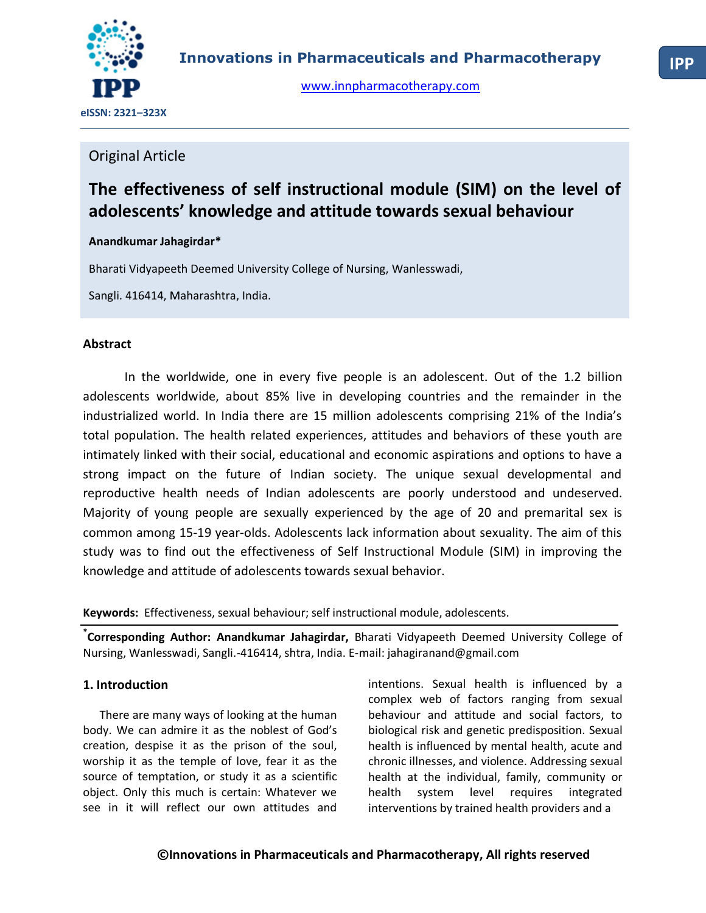

[www.innpharmacotherapy.com](http://www.innpharmacotherapy.com/)

## Original Article

# **The effectiveness of self instructional module (SIM) on the level of adolescents' knowledge and attitude towards sexual behaviour**

#### **Anandkumar Jahagirdar\***

Bharati Vidyapeeth Deemed University College of Nursing, Wanlesswadi,

Sangli. 416414, Maharashtra, India.

#### **Abstract**

In the worldwide, one in every five people is an adolescent. Out of the 1.2 billion adolescents worldwide, about 85% live in developing countries and the remainder in the industrialized world. In India there are 15 million adolescents comprising 21% of the India's total population. The health related experiences, attitudes and behaviors of these youth are intimately linked with their social, educational and economic aspirations and options to have a strong impact on the future of Indian society. The unique sexual developmental and reproductive health needs of Indian adolescents are poorly understood and undeserved. Majority of young people are sexually experienced by the age of 20 and premarital sex is common among 15-19 year-olds. Adolescents lack information about sexuality. The aim of this study was to find out the effectiveness of Self Instructional Module (SIM) in improving the knowledge and attitude of adolescents towards sexual behavior.

**Keywords:** Effectiveness, sexual behaviour; self instructional module, adolescents.

**\* Corresponding Author: Anandkumar Jahagirdar,** Bharati Vidyapeeth Deemed University College of Nursing, Wanlesswadi, Sangli.-416414, shtra, India. E-mail: jahagiranand@gmail.com

### **1. Introduction**

There are many ways of looking at the human body. We can admire it as the noblest of God's creation, despise it as the prison of the soul, worship it as the temple of love, fear it as the source of temptation, or study it as a scientific object. Only this much is certain: Whatever we see in it will reflect our own attitudes and

intentions. Sexual health is influenced by a complex web of factors ranging from sexual behaviour and attitude and social factors, to biological risk and genetic predisposition. Sexual health is influenced by mental health, acute and chronic illnesses, and violence. Addressing sexual health at the individual, family, community or health system level requires integrated interventions by trained health providers and a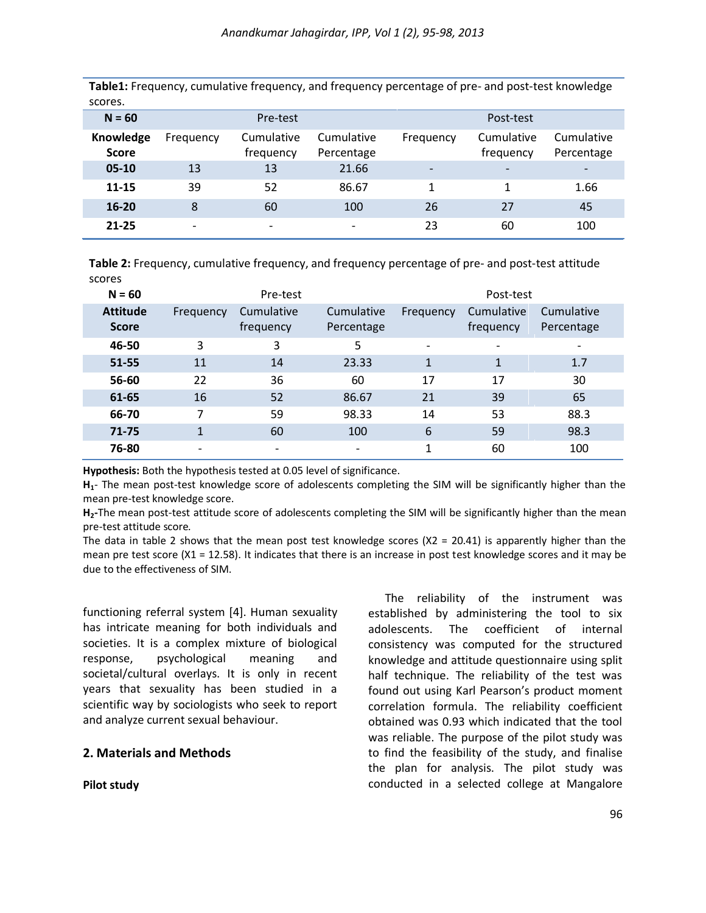**Table1:** Frequency, cumulative frequency, and frequency percentage of pre- and post-test knowledge scores.

|                          | Pre-test                 |                          |           | Post-test                |                          |
|--------------------------|--------------------------|--------------------------|-----------|--------------------------|--------------------------|
| Frequency                | Cumulative<br>frequency  | Cumulative<br>Percentage | Frequency | Cumulative<br>frequency  | Cumulative<br>Percentage |
| 13                       | 13                       | 21.66                    |           | $\overline{\phantom{a}}$ |                          |
| 39                       | 52                       | 86.67                    |           |                          | 1.66                     |
| 8                        | 60                       | 100                      | 26        | 27                       | 45                       |
| $\overline{\phantom{0}}$ | $\overline{\phantom{0}}$ | $\overline{\phantom{0}}$ | 23        | 60                       | 100                      |
|                          |                          |                          |           |                          |                          |

**Table 2:** Frequency, cumulative frequency, and frequency percentage of pre- and post-test attitude scores

| $N = 60$        | Pre-test  |            |            | Post-test                |            |            |
|-----------------|-----------|------------|------------|--------------------------|------------|------------|
| <b>Attitude</b> | Frequency | Cumulative | Cumulative | Frequency                | Cumulative | Cumulative |
| <b>Score</b>    |           | frequency  | Percentage |                          | frequency  | Percentage |
| 46-50           | 3         | 3          | 5          | $\overline{\phantom{a}}$ |            |            |
| 51-55           | 11        | 14         | 23.33      | $\mathbf{1}$             |            | 1.7        |
| 56-60           | 22        | 36         | 60         | 17                       | 17         | 30         |
| 61-65           | 16        | 52         | 86.67      | 21                       | 39         | 65         |
| 66-70           | 7         | 59         | 98.33      | 14                       | 53         | 88.3       |
| 71-75           | 1         | 60         | 100        | 6                        | 59         | 98.3       |
| 76-80           |           |            |            | 1                        | 60         | 100        |

**Hypothesis:** Both the hypothesis tested at 0.05 level of significance.

**H1**- The mean post-test knowledge score of adolescents completing the SIM will be significantly higher than the mean pre-test knowledge score.

**H2-**The mean post-test attitude score of adolescents completing the SIM will be significantly higher than the mean pre-test attitude score*.*

The data in table 2 shows that the mean post test knowledge scores  $(X2 = 20.41)$  is apparently higher than the mean pre test score  $(X1 = 12.58)$ . It indicates that there is an increase in post test knowledge scores and it may be due to the effectiveness of SIM.

functioning referral system [4]. Human sexuality has intricate meaning for both individuals and societies. It is a complex mixture of biological response, psychological meaning and societal/cultural overlays. It is only in recent years that sexuality has been studied in a scientific way by sociologists who seek to report and analyze current sexual behaviour.

#### **2. Materials and Methods**

**Pilot study**

The reliability of the instrument was established by administering the tool to six adolescents. The coefficient of internal consistency was computed for the structured knowledge and attitude questionnaire using split half technique. The reliability of the test was found out using Karl Pearson's product moment correlation formula. The reliability coefficient obtained was 0.93 which indicated that the tool was reliable. The purpose of the pilot study was to find the feasibility of the study, and finalise the plan for analysis. The pilot study was conducted in a selected college at Mangalore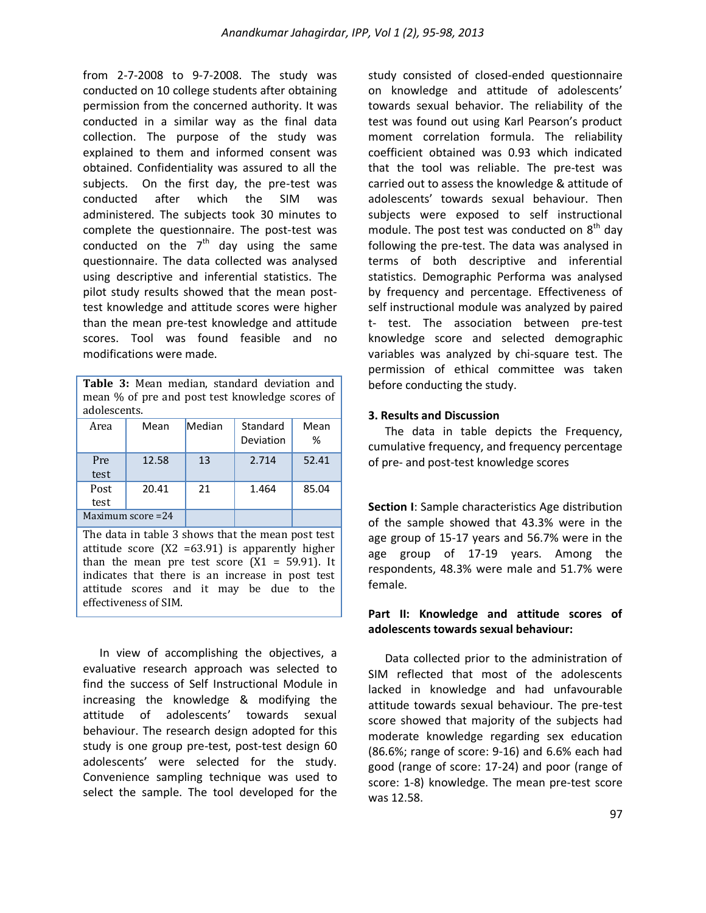from 2-7-2008 to 9-7-2008. The study was conducted on 10 college students after obtaining permission from the concerned authority. It was conducted in a similar way as the final data collection. The purpose of the study was explained to them and informed consent was obtained. Confidentiality was assured to all the subjects. On the first day, the pre-test was conducted after which the SIM was administered. The subjects took 30 minutes to complete the questionnaire. The post-test was conducted on the  $7<sup>th</sup>$  day using the same questionnaire. The data collected was analysed using descriptive and inferential statistics. The pilot study results showed that the mean posttest knowledge and attitude scores were higher than the mean pre-test knowledge and attitude scores. Tool was found feasible and no modifications were made.

| <b>Table 3:</b> Mean median, standard deviation and<br>mean % of pre and post test knowledge scores of<br>adolescents. |                   |        |                       |           |
|------------------------------------------------------------------------------------------------------------------------|-------------------|--------|-----------------------|-----------|
| Area                                                                                                                   | Mean              | Median | Standard<br>Deviation | Mean<br>℅ |
| Pre<br>test                                                                                                            | 12.58             | 13     | 2.714                 | 52.41     |
| Post<br>test                                                                                                           | 20.41             | 21     | 1.464                 | 85.04     |
|                                                                                                                        | Maximum score =24 |        |                       |           |
| The data in table 3 shows that the mean post test                                                                      |                   |        |                       |           |

attitude score (X2 =63.91) is apparently higher than the mean pre test score  $(X1 = 59.91)$ . It indicates that there is an increase in post test attitude scores and it may be due to the effectiveness of SIM.

In view of accomplishing the objectives, a evaluative research approach was selected to find the success of Self Instructional Module in increasing the knowledge & modifying the attitude of adolescents' towards sexual behaviour. The research design adopted for this study is one group pre-test, post-test design 60 adolescents' were selected for the study. Convenience sampling technique was used to select the sample. The tool developed for the

study consisted of closed-ended questionnaire on knowledge and attitude of adolescents' towards sexual behavior. The reliability of the test was found out using Karl Pearson's product moment correlation formula. The reliability coefficient obtained was 0.93 which indicated that the tool was reliable. The pre-test was carried out to assess the knowledge & attitude of adolescents' towards sexual behaviour. Then subjects were exposed to self instructional module. The post test was conducted on  $8<sup>th</sup>$  day following the pre-test. The data was analysed in terms of both descriptive and inferential statistics. Demographic Performa was analysed by frequency and percentage. Effectiveness of self instructional module was analyzed by paired t- test. The association between pre-test knowledge score and selected demographic variables was analyzed by chi-square test. The permission of ethical committee was taken before conducting the study.

#### **3. Results and Discussion**

The data in table depicts the Frequency, cumulative frequency, and frequency percentage of pre- and post-test knowledge scores

**Section I**: Sample characteristics Age distribution of the sample showed that 43.3% were in the age group of 15-17 years and 56.7% were in the age group of 17-19 years. Among the respondents, 48.3% were male and 51.7% were female.

#### **Part II: Knowledge and attitude scores of adolescents towards sexual behaviour:**

Data collected prior to the administration of SIM reflected that most of the adolescents lacked in knowledge and had unfavourable attitude towards sexual behaviour. The pre-test score showed that majority of the subjects had moderate knowledge regarding sex education (86.6%; range of score: 9-16) and 6.6% each had good (range of score: 17-24) and poor (range of score: 1-8) knowledge. The mean pre-test score was 12.58.